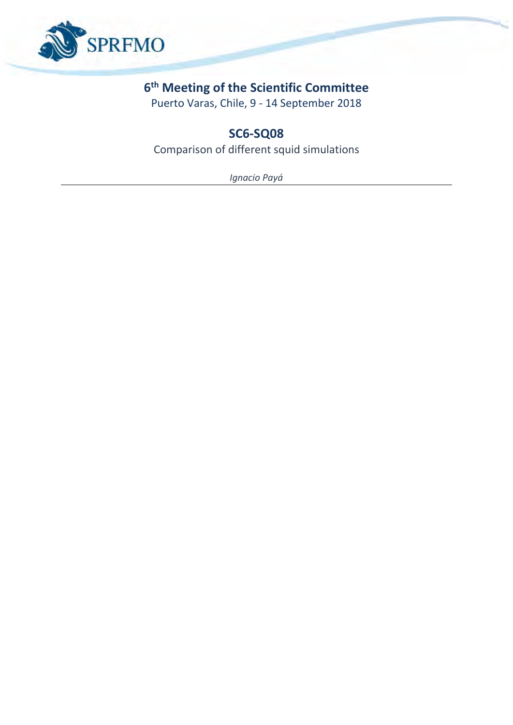

## **6 th Meeting of the Scientific Committee**

Puerto Varas, Chile, 9 - 14 September 2018

# **SC6-SQ08**

Comparison of different squid simulations

*Ignacio Payá*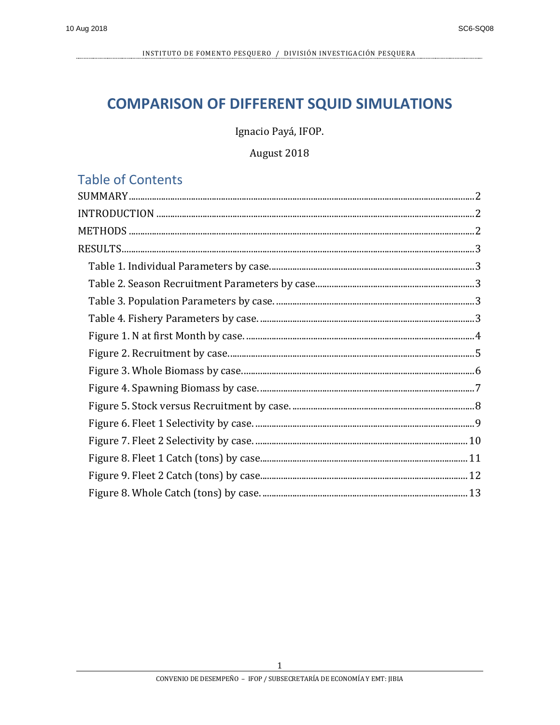# **COMPARISON OF DIFFERENT SQUID SIMULATIONS**

Ignacio Payá, IFOP.

August 2018

## **Table of Contents**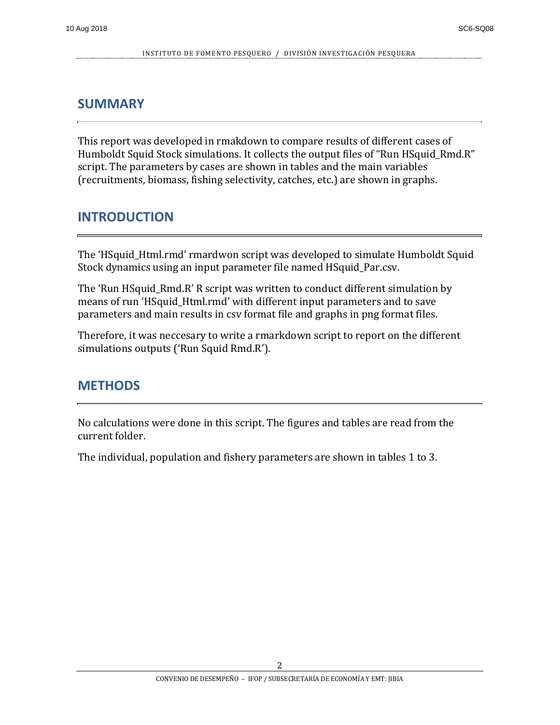### <span id="page-2-0"></span>**SUMMARY**

This report was developed in rmakdown to compare results of different cases of Humboldt Squid Stock simulations. It collects the output files of "Run HSquid\_Rmd.R" script. The parameters by cases are shown in tables and the main variables (recruitments, biomass, fishing selectivity, catches, etc.) are shown in graphs.

## <span id="page-2-1"></span>**INTRODUCTION**

The 'HSquid\_Html.rmd' rmardwon script was developed to simulate Humboldt Squid Stock dynamics using an input parameter file named HSquid\_Par.csv.

The 'Run HSquid\_Rmd.R' R script was written to conduct different simulation by means of run 'HSquid\_Html.rmd' with different input parameters and to save parameters and main results in csv format file and graphs in png format files.

Therefore, it was neccesary to write a rmarkdown script to report on the different simulations outputs ('Run Squid Rmd.R').

### <span id="page-2-2"></span>**METHODS**

No calculations were done in this script. The figures and tables are read from the current folder.

The individual, population and fishery parameters are shown in tables 1 to 3.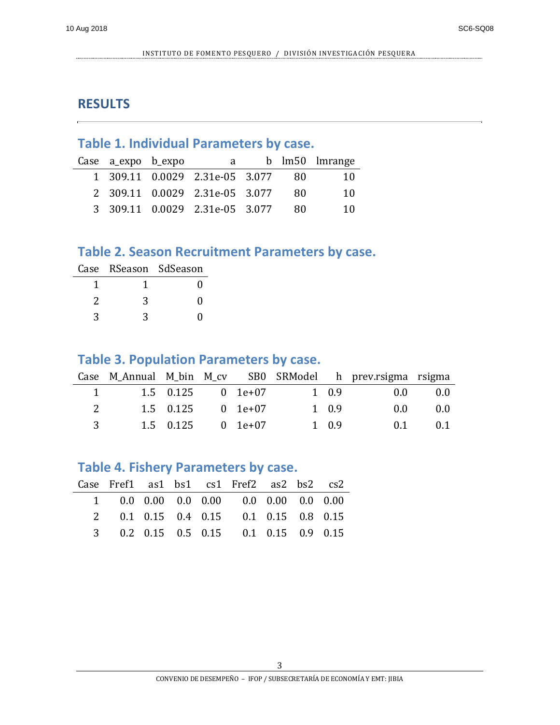#### <span id="page-3-0"></span>**RESULTS**

## <span id="page-3-1"></span>**Table 1. Individual Parameters by case.**

| Case a_expo b_expo | a                              |     | b lm50 lmrange |
|--------------------|--------------------------------|-----|----------------|
|                    | 1 309.11 0.0029 2.31e-05 3.077 | -80 | 10             |
|                    | 2 309.11 0.0029 2.31e-05 3.077 | 80. | 10             |
|                    | 3 309.11 0.0029 2.31e-05 3.077 | 80  | 10             |

#### <span id="page-3-2"></span>**Table 2. Season Recruitment Parameters by case.**

|   | Case RSeason SdSeason |
|---|-----------------------|
|   |                       |
| 3 |                       |
| 3 |                       |

#### <span id="page-3-3"></span>**Table 3. Population Parameters by case.**

|     |                               |                     |                     |       | Case M_Annual M_bin M_cv SB0 SRModel h prev.rsigma rsigma |       |
|-----|-------------------------------|---------------------|---------------------|-------|-----------------------------------------------------------|-------|
|     | The Company of the Company of |                     | $1.5$ 0.125 0 1e+07 | 1 0.9 | 0.0                                                       | (0.0) |
| 2   |                               | 1.5 0.125           | 0 1e+07             | 1 0.9 | 0.0                                                       | (0.0) |
| 3 · |                               | $1.5$ 0.125 0 1e+07 |                     | 1 0.9 | 0.1                                                       | (0.1) |

#### <span id="page-3-4"></span>**Table 4. Fishery Parameters by case.**

|  |  | Case Fref1 as1 bs1 cs1 Fref2 as2 bs2 cs2      |  |  |
|--|--|-----------------------------------------------|--|--|
|  |  | 1 0.0 0.00 0.0 0.00 0.0 0.00 0.0 0.00         |  |  |
|  |  | 2  0.1  0.15  0.4  0.15  0.1  0.15  0.8  0.15 |  |  |
|  |  | 3 0.2 0.15 0.5 0.15 0.1 0.15 0.9 0.15         |  |  |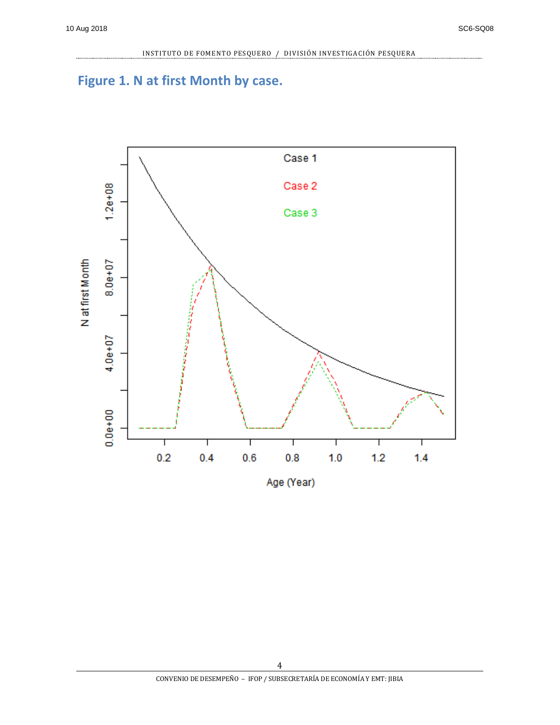## <span id="page-4-0"></span>**Figure 1. N at first Month by case.**

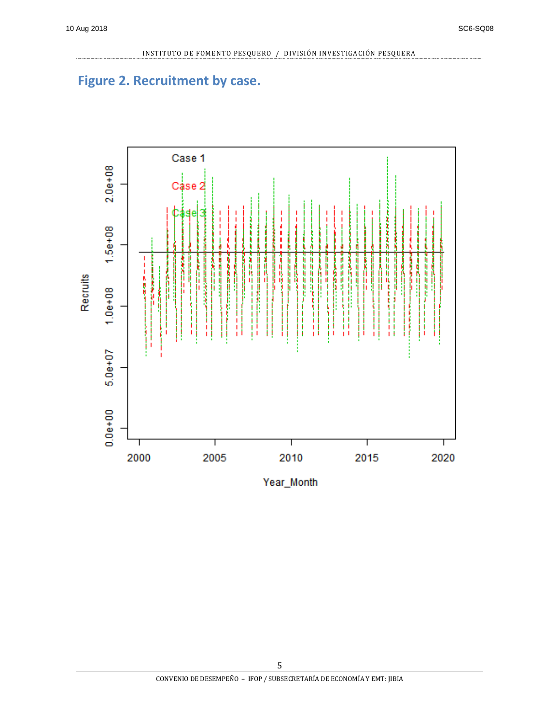## <span id="page-5-0"></span>**Figure 2. Recruitment by case.**

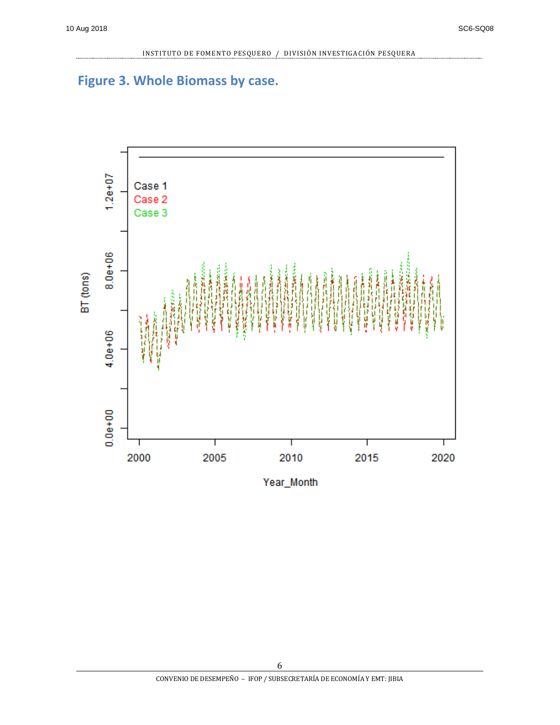## <span id="page-6-0"></span>**Figure 3. Whole Biomass by case.**

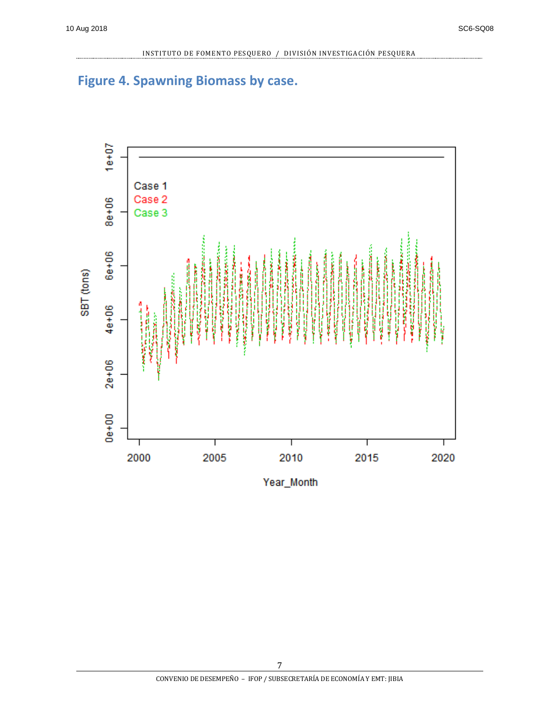

## <span id="page-7-0"></span>**Figure 4. Spawning Biomass by case.**

Year\_Month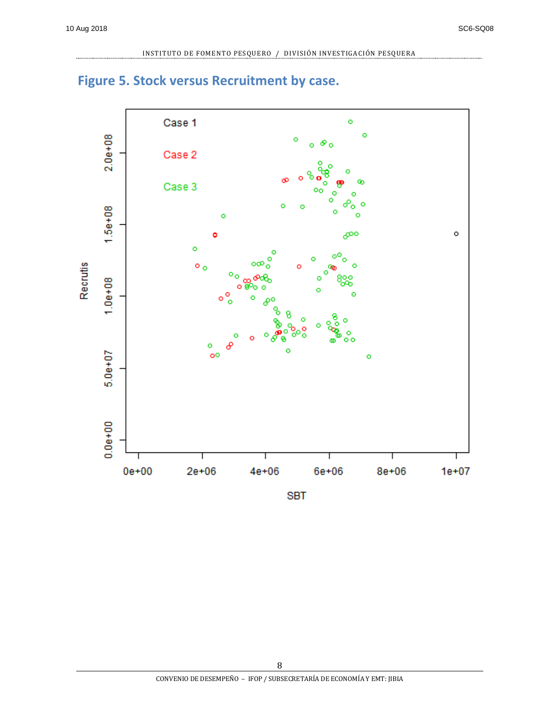

## <span id="page-8-0"></span>**Figure 5. Stock versus Recruitment by case.**

**SBT**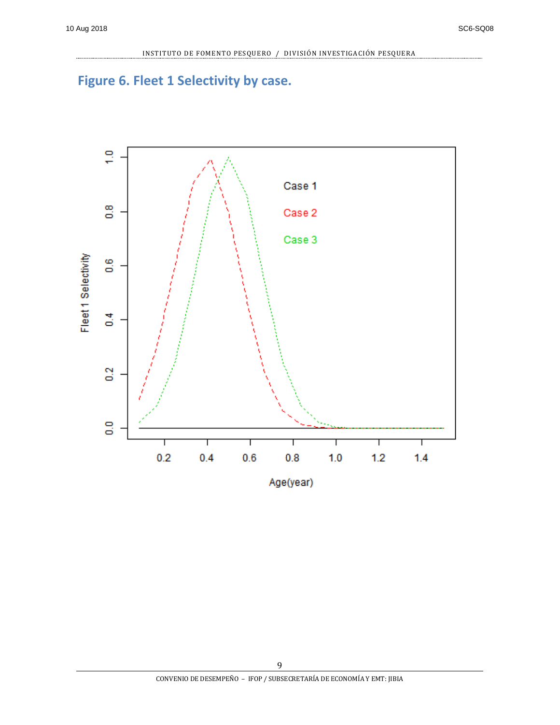## <span id="page-9-0"></span>**Figure 6. Fleet 1 Selectivity by case.**

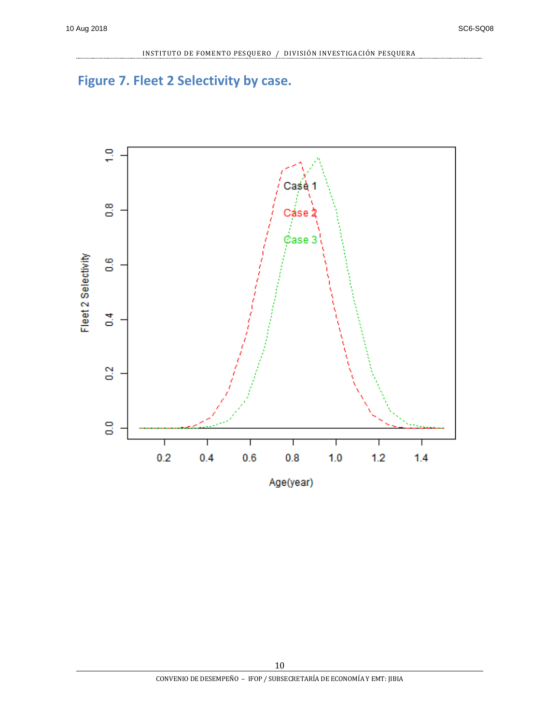# <span id="page-10-0"></span>**Figure 7. Fleet 2 Selectivity by case.**

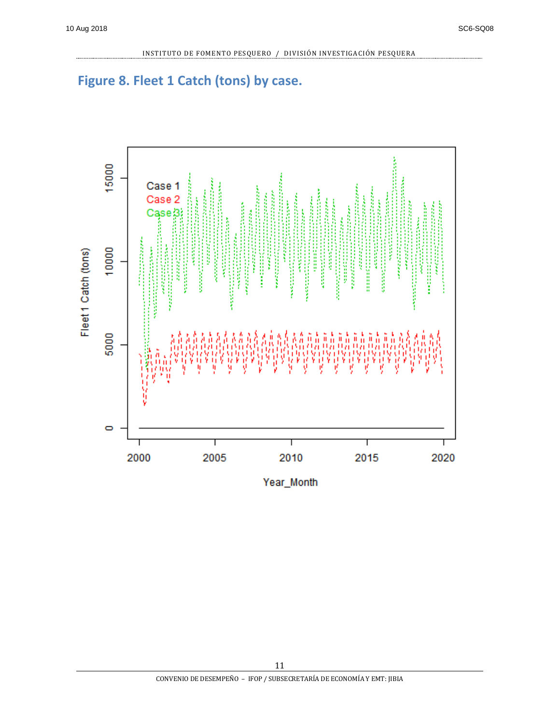## <span id="page-11-0"></span>**Figure 8. Fleet 1 Catch (tons) by case.**

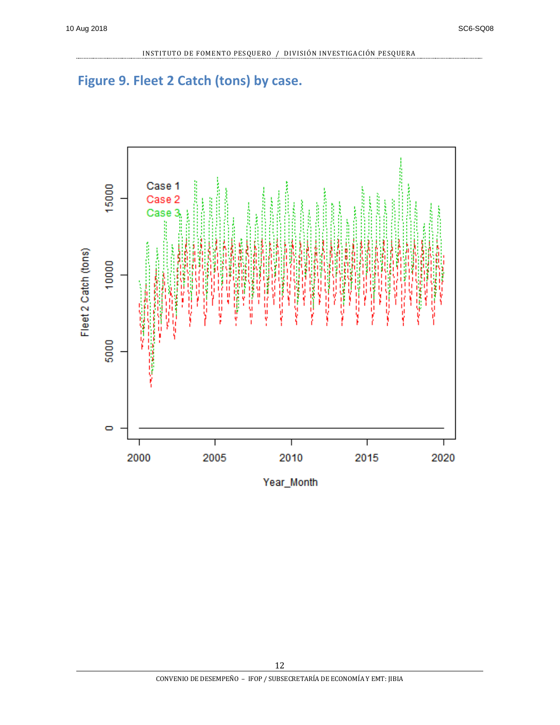## <span id="page-12-0"></span>**Figure 9. Fleet 2 Catch (tons) by case.**